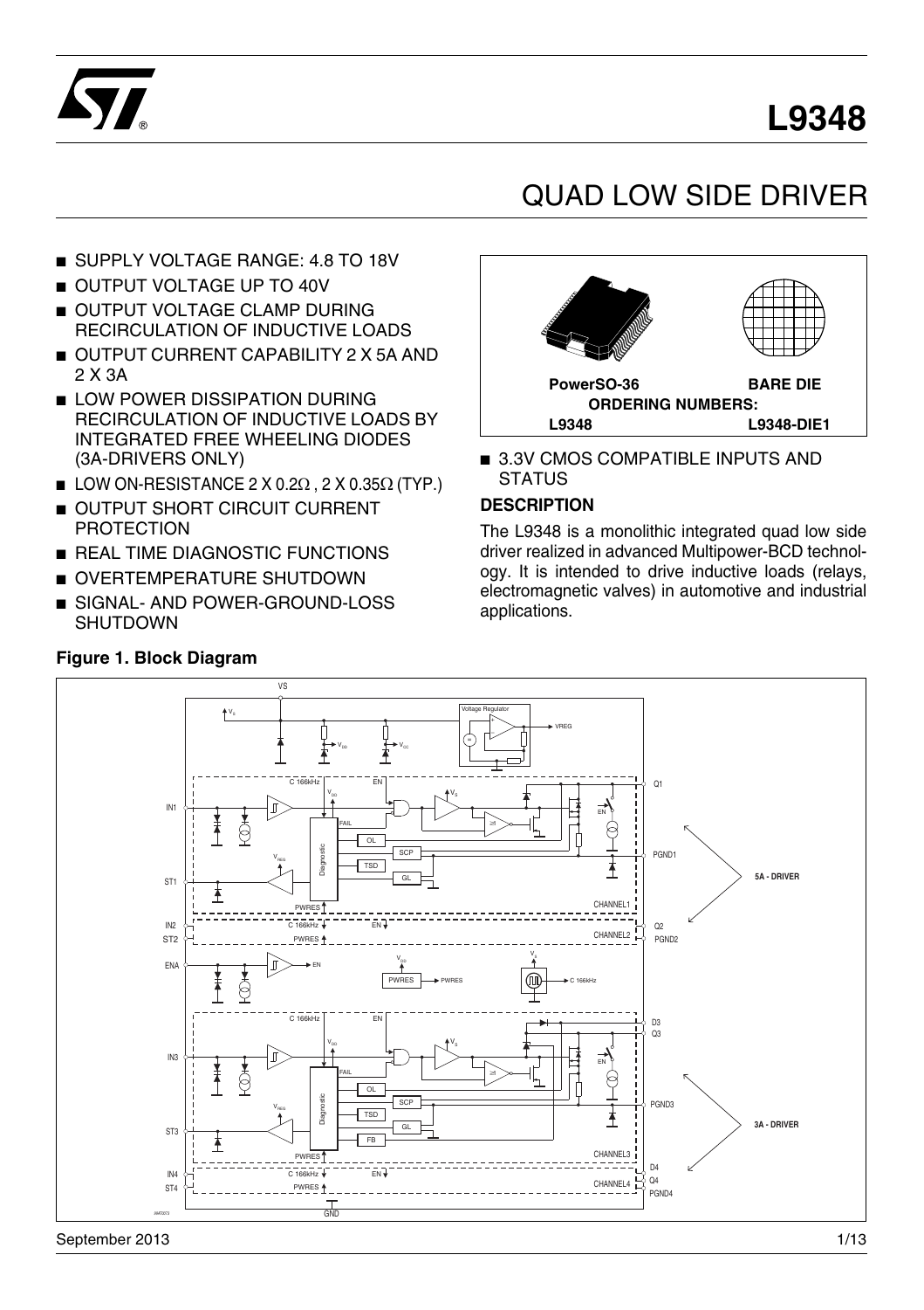## **L9348**



## QUAD LOW SIDE DRIVER

- SUPPLY VOLTAGE RANGE: 4.8 TO 18V
- OUTPUT VOLTAGE UP TO 40V
- OUTPUT VOLTAGE CLAMP DURING RECIRCULATION OF INDUCTIVE LOADS
- OUTPUT CURRENT CAPABILITY 2 X 5A AND 2 X 3A
- LOW POWER DISSIPATION DURING RECIRCULATION OF INDUCTIVE LOADS BY INTEGRATED FREE WHEELING DIODES (3A-DRIVERS ONLY)
- $\blacksquare$  LOW ON-RESISTANCE 2 X 0.2 $\Omega$  , 2 X 0.35 $\Omega$  (TYP.)
- **OUTPUT SHORT CIRCUIT CURRENT** PROTECTION
- REAL TIME DIAGNOSTIC FUNCTIONS
- OVERTEMPERATURE SHUTDOWN
- SIGNAL- AND POWER-GROUND-LOSS SHUTDOWN

# **PowerSO-36 BARE DIE ORDERING NUMBERS: L9348 L9348-DIE1**

■ 3.3V CMOS COMPATIBLE INPUTS AND **STATUS** 

#### **DESCRIPTION**

The L9348 is a monolithic integrated quad low side driver realized in advanced Multipower-BCD technology. It is intended to drive inductive loads (relays, electromagnetic valves) in automotive and industrial applications.



#### **Figure 1. Block Diagram**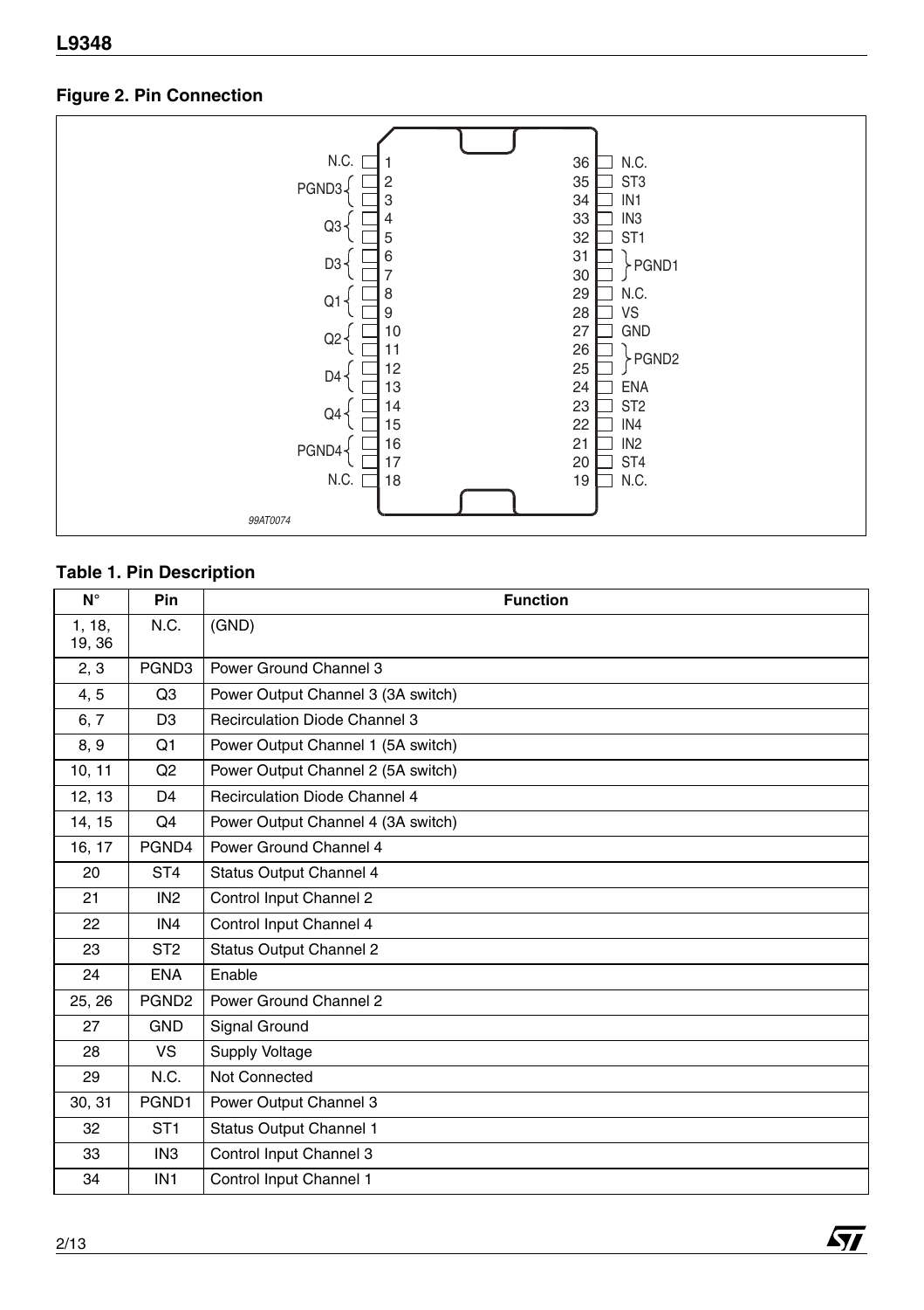#### **Figure 2. Pin Connection**



#### **Table 1. Pin Description**

| $N^{\circ}$      | Pin               | <b>Function</b>                      |
|------------------|-------------------|--------------------------------------|
| 1, 18,<br>19, 36 | N.C.              | (GND)                                |
| 2, 3             | PGND3             | Power Ground Channel 3               |
| 4,5              | Q3                | Power Output Channel 3 (3A switch)   |
| 6, 7             | D <sub>3</sub>    | Recirculation Diode Channel 3        |
| 8, 9             | Q1                | Power Output Channel 1 (5A switch)   |
| 10, 11           | Q2                | Power Output Channel 2 (5A switch)   |
| 12, 13           | D <sub>4</sub>    | <b>Recirculation Diode Channel 4</b> |
| 14, 15           | O <sub>4</sub>    | Power Output Channel 4 (3A switch)   |
| 16, 17           | PGND4             | Power Ground Channel 4               |
| 20               | ST <sub>4</sub>   | Status Output Channel 4              |
| 21               | IN <sub>2</sub>   | Control Input Channel 2              |
| 22               | IN4               | Control Input Channel 4              |
| 23               | ST <sub>2</sub>   | Status Output Channel 2              |
| 24               | <b>ENA</b>        | Enable                               |
| 25, 26           | PGND <sub>2</sub> | Power Ground Channel 2               |
| 27               | <b>GND</b>        | Signal Ground                        |
| 28               | <b>VS</b>         | Supply Voltage                       |
| 29               | N.C.              | Not Connected                        |
| 30, 31           | PGND1             | Power Output Channel 3               |
| 32               | ST <sub>1</sub>   | Status Output Channel 1              |
| 33               | IN <sub>3</sub>   | Control Input Channel 3              |
| 34               | IN <sub>1</sub>   | Control Input Channel 1              |

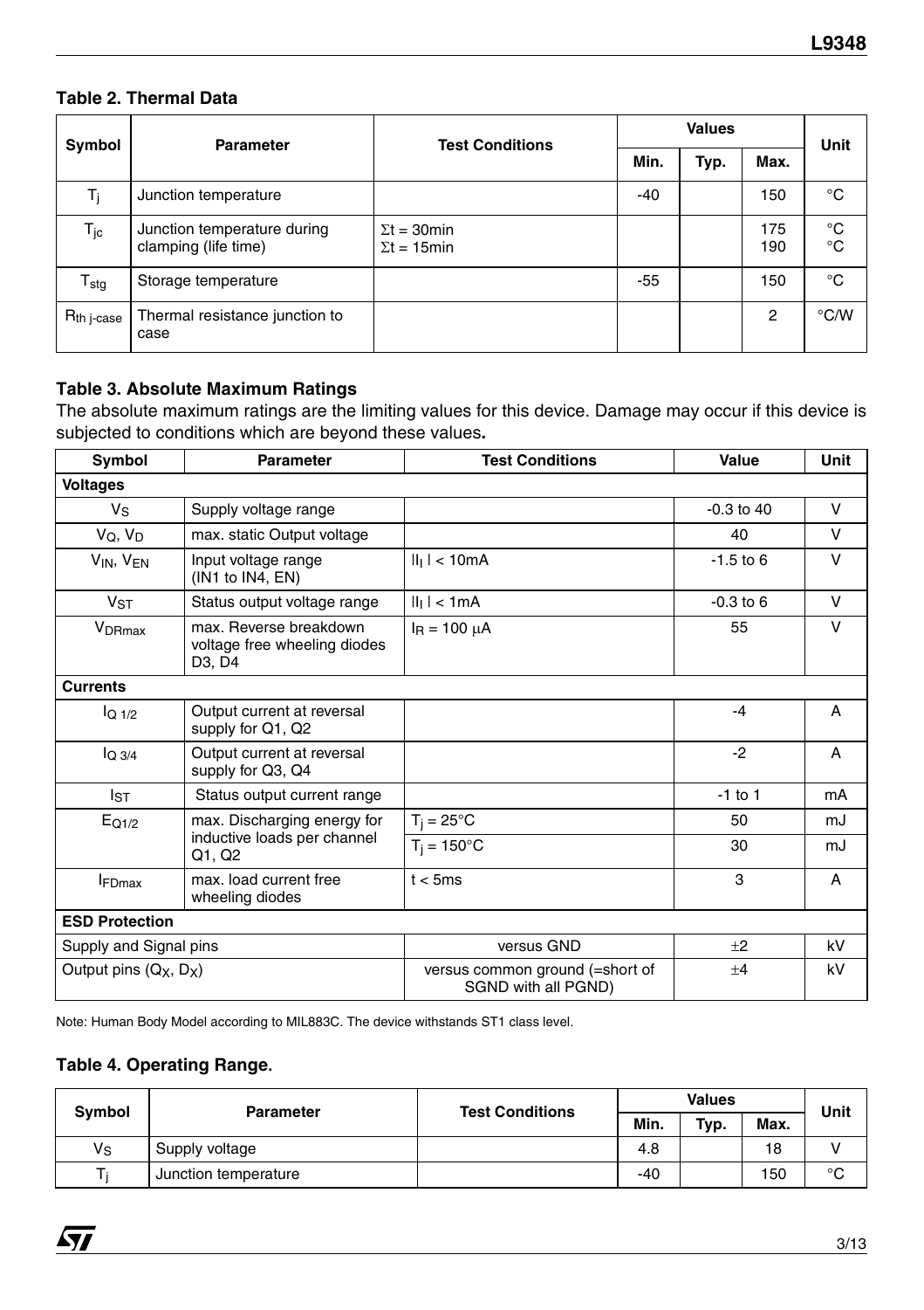#### **Table 2. Thermal Data**

| Symbol                            | Parameter                                           | <b>Test Conditions</b>                     |       | <b>Values</b> |            | Unit               |
|-----------------------------------|-----------------------------------------------------|--------------------------------------------|-------|---------------|------------|--------------------|
|                                   |                                                     |                                            | Min.  | Typ.          | Max.       |                    |
| Ti                                | Junction temperature                                |                                            | -40   |               | 150        | °C                 |
| $T_{\rm jc}$                      | Junction temperature during<br>clamping (life time) | $\Sigma t = 30$ min<br>$\Sigma t = 15$ min |       |               | 175<br>190 | °C<br>$^{\circ}$ C |
| ${\mathsf T}_{\text{stg}}$        | Storage temperature                                 |                                            | $-55$ |               | 150        | °C                 |
| $\mathsf{R}_{\mathsf{th}}$ j-case | Thermal resistance junction to<br>case              |                                            |       |               | 2          | °C/W               |

#### **Table 3. Absolute Maximum Ratings**

The absolute maximum ratings are the limiting values for this device. Damage may occur if this device is subjected to conditions which are beyond these values**.**

| Symbol                                         | <b>Parameter</b>                                                 | <b>Test Conditions</b>                                 | Value          | Unit   |
|------------------------------------------------|------------------------------------------------------------------|--------------------------------------------------------|----------------|--------|
| Voltages                                       |                                                                  |                                                        |                |        |
| $V_S$                                          | Supply voltage range                                             |                                                        | $-0.3$ to $40$ | V      |
| $V_Q, V_D$                                     | max. static Output voltage                                       |                                                        | 40             | V      |
| $V_{IN}$ , $V_{EN}$                            | Input voltage range<br>(IN1 to IN4, EN)                          | $  _1$   < 10mA                                        | $-1.5$ to 6    | $\vee$ |
| <b>V<sub>ST</sub></b>                          | Status output voltage range                                      | $  _1$   < 1mA                                         | $-0.3$ to 6    | V      |
| V <sub>DRmax</sub>                             | max. Reverse breakdown<br>voltage free wheeling diodes<br>D3, D4 | $I_R = 100 \mu A$                                      | 55             | V      |
| <b>Currents</b>                                |                                                                  |                                                        |                |        |
| $IQ$ <sub>1/2</sub>                            | Output current at reversal<br>supply for Q1, Q2                  |                                                        | $-4$           | A      |
| $IO$ 3/4                                       | Output current at reversal<br>supply for Q3, Q4                  |                                                        | $-2$           | A      |
| lsт                                            | Status output current range                                      |                                                        | $-1$ to 1      | mA     |
| $E_{Q1/2}$                                     | max. Discharging energy for                                      | $T_i = 25^{\circ}C$                                    | 50             | mJ     |
|                                                | inductive loads per channel<br>Q1, Q2                            | $T_i = 150^{\circ}$ C                                  | 30             | mJ     |
| <b>FDmax</b>                                   | max. load current free<br>wheeling diodes                        | t < 5ms                                                | 3              | A      |
| <b>ESD Protection</b>                          |                                                                  |                                                        |                |        |
| Supply and Signal pins                         |                                                                  | versus GND                                             | $+2$           | kV     |
| Output pins (Q <sub>X</sub> , D <sub>X</sub> ) |                                                                  | versus common ground (=short of<br>SGND with all PGND) | $+4$           | kV     |

Note: Human Body Model according to MIL883C. The device withstands ST1 class level.

#### **Table 4. Operating Range.**

| Symbol      | Parameter            | <b>Test Conditions</b> | <b>Values</b> |      |      | Unit |
|-------------|----------------------|------------------------|---------------|------|------|------|
|             |                      |                        | Min.          | Typ. | Max. |      |
| $V_{\rm S}$ | Supply voltage       |                        | 4.8           |      | 18   |      |
|             | Junction temperature |                        | $-40$         |      | 150  | °C   |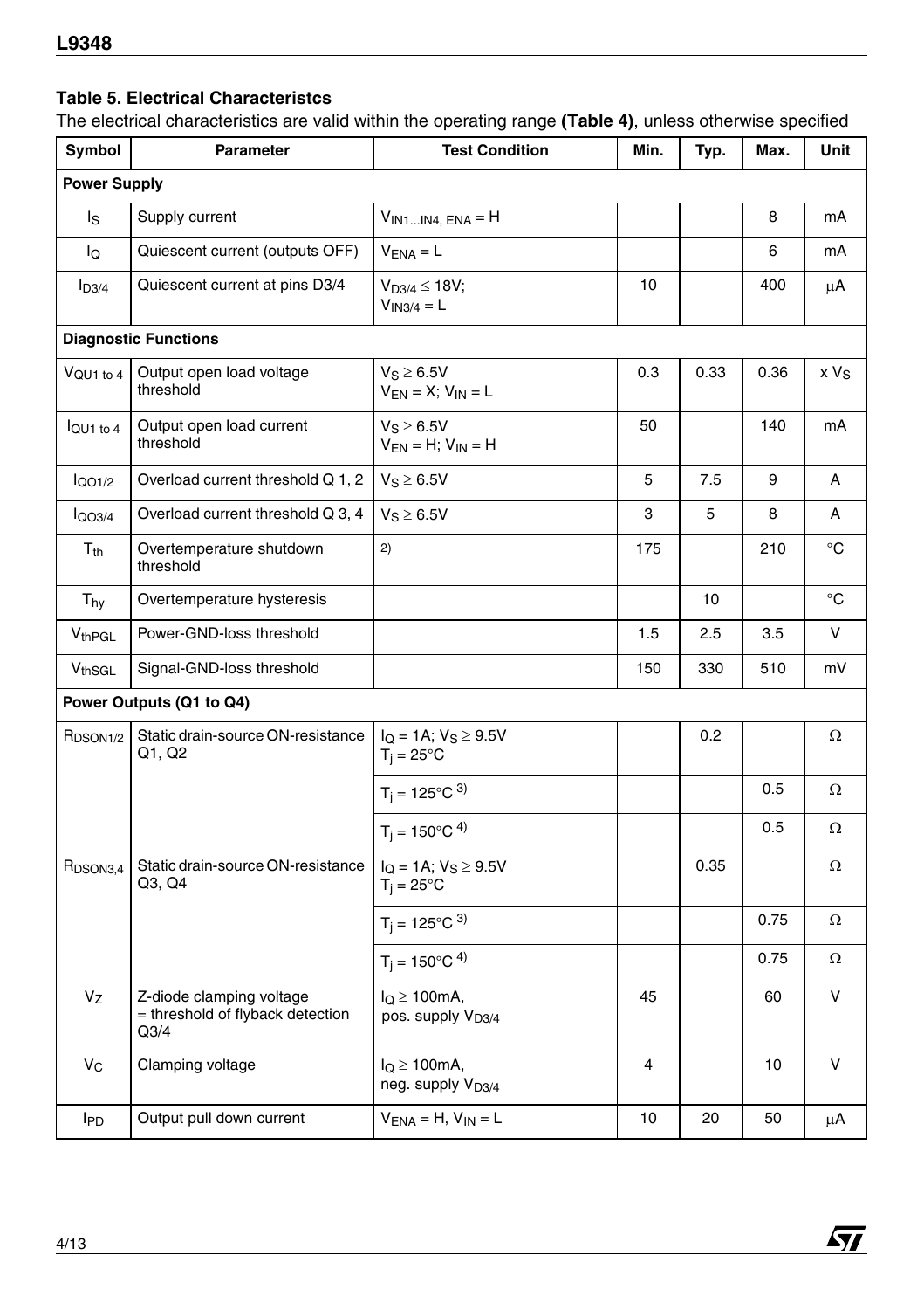#### **Table 5. Electrical Characteristcs**

The electrical characteristics are valid within the operating range **(Table 4)**, unless otherwise specified

| Symbol               | Parameter                                                            | <b>Test Condition</b>                             | Min.           | Typ. | Max. | Unit     |
|----------------------|----------------------------------------------------------------------|---------------------------------------------------|----------------|------|------|----------|
| <b>Power Supply</b>  |                                                                      |                                                   |                |      |      |          |
| ls                   | Supply current                                                       | $V_{IN1IN4, ENA} = H$                             |                |      | 8    | mA       |
| lQ                   | Quiescent current (outputs OFF)                                      | $VENA = L$                                        |                |      | 6    | mA       |
| I <sub>D3/4</sub>    | Quiescent current at pins D3/4                                       | $V_{D3/4} \le 18V$ ;<br>$V_{1N3/4} = L$           | 10             |      | 400  | μA       |
|                      | <b>Diagnostic Functions</b>                                          |                                                   |                |      |      |          |
| $V_{\rm QU1~to~4}$   | Output open load voltage<br>threshold                                | $V_S \geq 6.5V$<br>$V_{EN} = X$ ; $V_{IN} = L$    | 0.3            | 0.33 | 0.36 | $xV_{S}$ |
| $I$ QU1 to 4         | Output open load current<br>threshold                                | $V_S \geq 6.5V$<br>$V_{EN} = H$ ; $V_{IN} = H$    | 50             |      | 140  | mA       |
| $I_{QO1/2}$          | Overload current threshold Q 1, 2                                    | $V_S \geq 6.5V$                                   | 5              | 7.5  | 9    | A        |
| $I_{QQ3/4}$          | Overload current threshold Q 3, 4                                    | $V_S \geq 6.5V$                                   | 3              | 5    | 8    | A        |
| T <sub>th</sub>      | Overtemperature shutdown<br>threshold                                | 2)                                                | 175            |      | 210  | °C       |
| Thy                  | Overtemperature hysteresis                                           |                                                   |                | 10   |      | °C       |
| V <sub>thPGL</sub>   | Power-GND-loss threshold                                             |                                                   | 1.5            | 2.5  | 3.5  | v        |
| V <sub>thSGL</sub>   | Signal-GND-loss threshold                                            |                                                   | 150            | 330  | 510  | mV       |
|                      | Power Outputs (Q1 to Q4)                                             |                                                   |                |      |      |          |
| R <sub>DSON1/2</sub> | Static drain-source ON-resistance<br>Q1, Q2                          | $I_Q = 1A; V_S \ge 9.5V$<br>$T_i = 25^{\circ}$ C  |                | 0.2  |      | Ω        |
|                      |                                                                      | $T_i = 125^{\circ}C^{3}$                          |                |      | 0.5  | Ω        |
|                      |                                                                      | $T_i = 150^{\circ}C^{4}$                          |                |      | 0.5  | Ω        |
| R <sub>DSON3,4</sub> | Static drain-source ON-resistance<br>Q3, Q4                          | $IO = 1A; VS \ge 9.5V$<br>$T_i = 25^{\circ}C$     |                | 0.35 |      | Ω        |
|                      |                                                                      | $T_j = 125^{\circ}C^{3}$                          |                |      | 0.75 | Ω        |
|                      |                                                                      | $T_i = 150^{\circ}C^{4}$                          |                |      | 0.75 | Ω        |
| Vz                   | Z-diode clamping voltage<br>= threshold of flyback detection<br>Q3/4 | $IQ \ge 100mA$ ,<br>pos. supply V <sub>D3/4</sub> | 45             |      | 60   | ν        |
| $V_C$                | Clamping voltage                                                     | $IQ \ge 100mA$ ,<br>neg. supply V <sub>D3/4</sub> | $\overline{4}$ |      | 10   | v        |
| <b>I</b> PD          | Output pull down current                                             | $VENA = H, VIN = L$                               | 10             | 20   | 50   | μA       |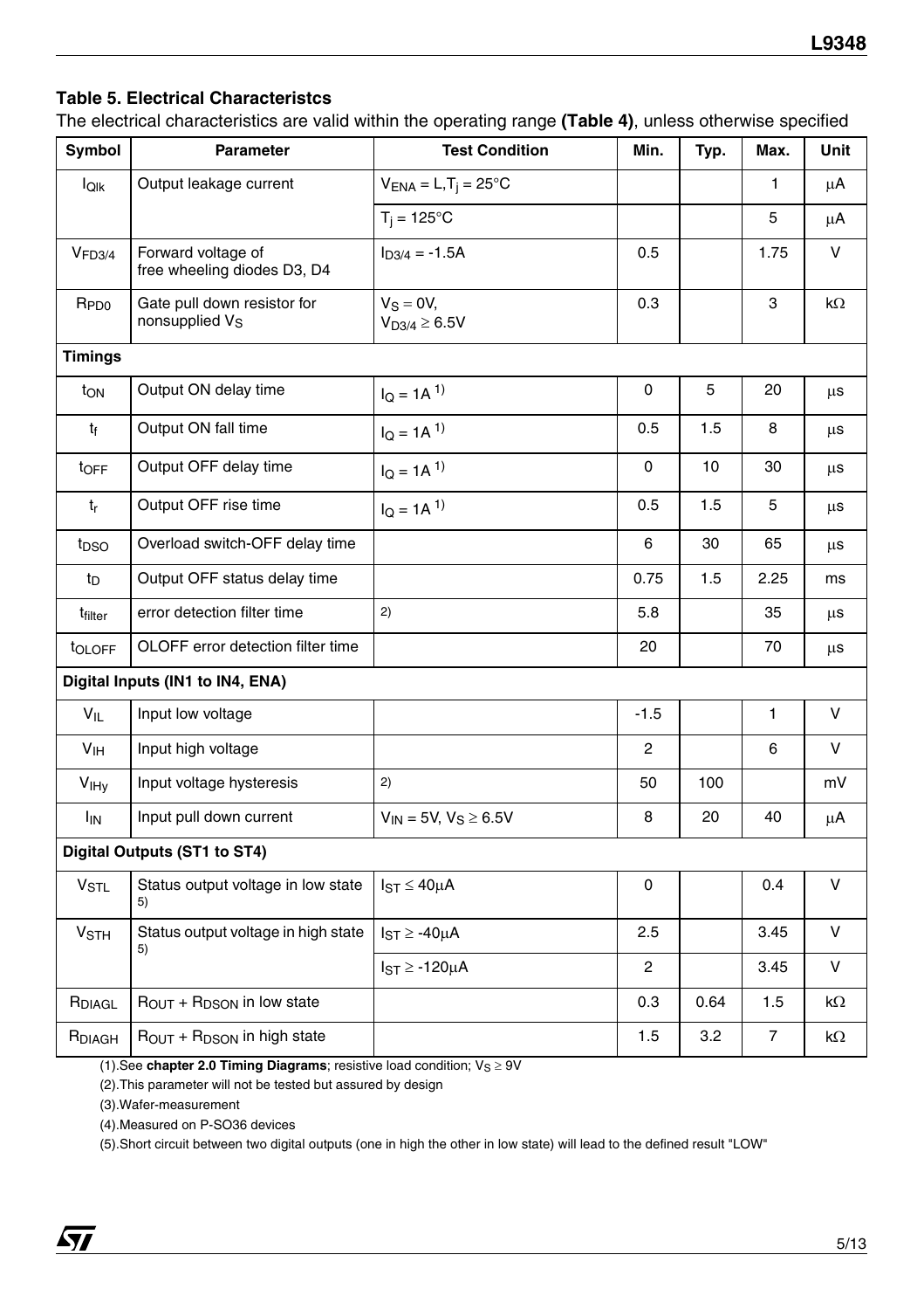#### **Table 5. Electrical Characteristcs**

The electrical characteristics are valid within the operating range **(Table 4)**, unless otherwise specified

| Symbol                  | <b>Parameter</b>                                          | <b>Test Condition</b>             | Min.     | Typ. | Max.           | Unit    |
|-------------------------|-----------------------------------------------------------|-----------------------------------|----------|------|----------------|---------|
| loık                    | Output leakage current                                    | $V_{ENA} = L, T_j = 25^{\circ}C$  |          |      | 1              | μA      |
|                         |                                                           | $T_i = 125$ °C                    |          |      | 5              | μA      |
| V <sub>FD3/4</sub>      | Forward voltage of<br>free wheeling diodes D3, D4         | $I_{D3/4} = -1.5A$                | 0.5      |      | 1.75           | v       |
| <b>R</b> <sub>PD0</sub> | Gate pull down resistor for<br>nonsupplied V <sub>S</sub> | $V_S = 0V$<br>$V_{D3/4} \ge 6.5V$ | 0.3      |      | 3              | kΩ      |
| <b>Timings</b>          |                                                           |                                   |          |      |                |         |
| ton                     | Output ON delay time                                      | $I_Q = 1A^{1}$                    | 0        | 5    | 20             | μs      |
| tf                      | Output ON fall time                                       | $I_Q = 1A^{1}$                    | 0.5      | 1.5  | 8              | μs      |
| t <sub>OFF</sub>        | Output OFF delay time                                     | $I_Q = 1A^{1}$                    | $\Omega$ | 10   | 30             | μs      |
| $t_{r}$                 | Output OFF rise time                                      | $I_Q = 1A^{1}$                    | 0.5      | 1.5  | 5              | μs      |
| t <sub>DSO</sub>        | Overload switch-OFF delay time                            |                                   | 6        | 30   | 65             | $\mu$ s |
| tp                      | Output OFF status delay time                              |                                   | 0.75     | 1.5  | 2.25           | ms      |
| t <sub>filter</sub>     | error detection filter time                               | 2)                                | 5.8      |      | 35             | μs      |
| t <sub>OLOFF</sub>      | OLOFF error detection filter time                         |                                   | 20       |      | 70             | $\mu$ s |
|                         | Digital Inputs (IN1 to IN4, ENA)                          |                                   |          |      |                |         |
| $V_{IL}$                | Input low voltage                                         |                                   | $-1.5$   |      | 1              | V       |
| V <sub>IH</sub>         | Input high voltage                                        |                                   | 2        |      | 6              | v       |
| V <sub>IHv</sub>        | Input voltage hysteresis                                  | 2)                                | 50       | 100  |                | mV      |
| <b>I<sub>IN</sub></b>   | Input pull down current                                   | $V_{IN} = 5V, V_S \ge 6.5V$       | 8        | 20   | 40             | μA      |
|                         | Digital Outputs (ST1 to ST4)                              |                                   |          |      |                |         |
| <b>V<sub>STL</sub></b>  | Status output voltage in low state<br>5)                  | $I_{ST} \leq 40 \mu A$            | 0        |      | 0.4            | V       |
| <b>V<sub>STH</sub></b>  | Status output voltage in high state<br>5)                 | $I_{ST} \ge -40 \mu A$            | 2.5      |      | 3.45           | V       |
|                         |                                                           | $IST \ge -120\mu A$               | 2        |      | 3.45           | V       |
| R <sub>DIAGL</sub>      | $R_{OUT}$ + $R_{DSON}$ in low state                       |                                   | 0.3      | 0.64 | 1.5            | kΩ      |
| RDIAGH                  | ROUT + RDSON in high state                                |                                   | 1.5      | 3.2  | $\overline{7}$ | kΩ      |

(1). See **[chapter 2.0 Timing Diagrams](#page-7-0)**; resistive load condition;  $V_S \ge 9V$ 

(2).This parameter will not be tested but assured by design

(3).Wafer-measurement

(4).Measured on P-SO36 devices

(5).Short circuit between two digital outputs (one in high the other in low state) will lead to the defined result "LOW"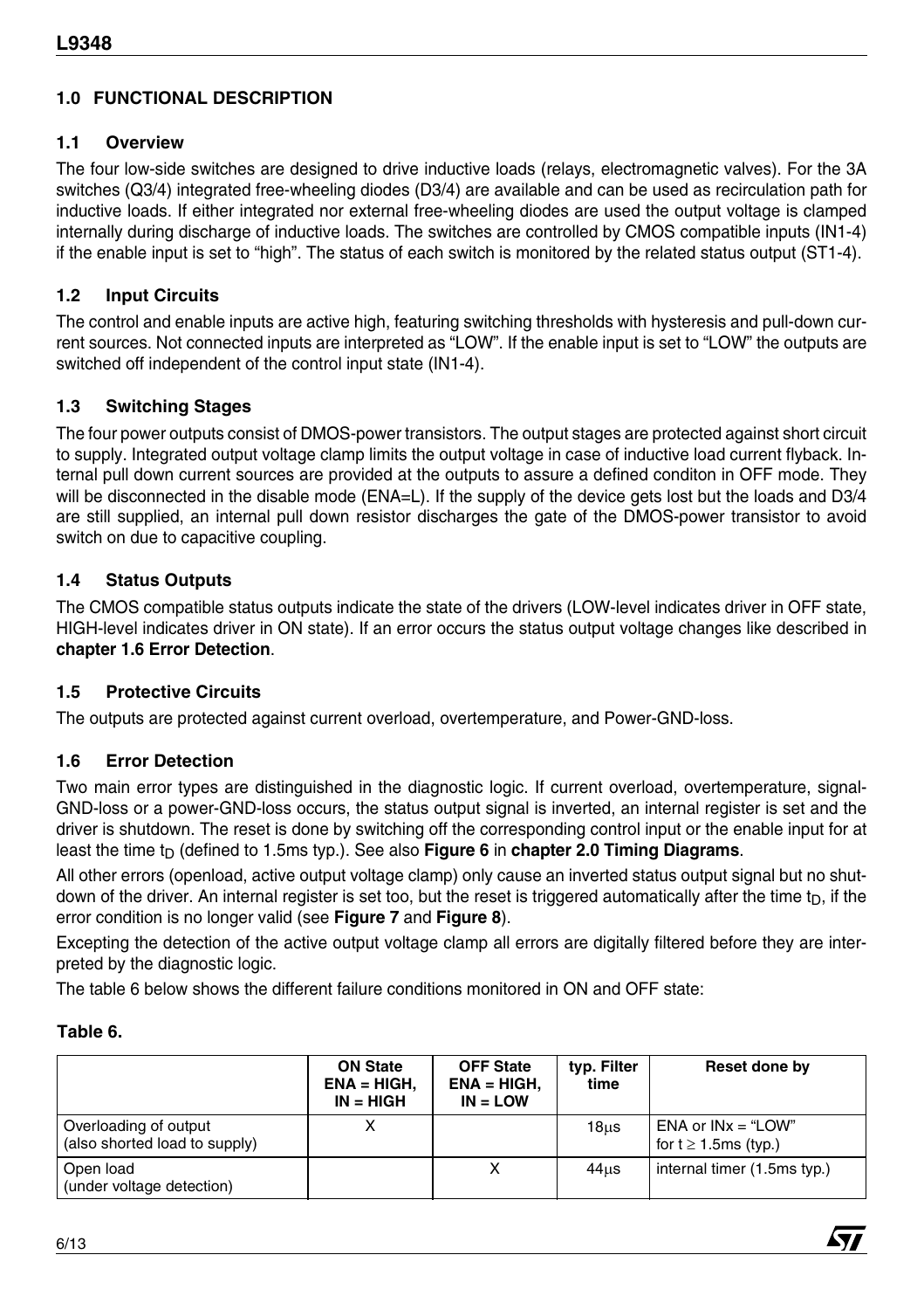#### **1.0 FUNCTIONAL DESCRIPTION**

#### **1.1 Overview**

The four low-side switches are designed to drive inductive loads (relays, electromagnetic valves). For the 3A switches (Q3/4) integrated free-wheeling diodes (D3/4) are available and can be used as recirculation path for inductive loads. If either integrated nor external free-wheeling diodes are used the output voltage is clamped internally during discharge of inductive loads. The switches are controlled by CMOS compatible inputs (IN1-4) if the enable input is set to "high". The status of each switch is monitored by the related status output (ST1-4).

#### **1.2 Input Circuits**

The control and enable inputs are active high, featuring switching thresholds with hysteresis and pull-down current sources. Not connected inputs are interpreted as "LOW". If the enable input is set to "LOW" the outputs are switched off independent of the control input state (IN1-4).

#### **1.3 Switching Stages**

The four power outputs consist of DMOS-power transistors. The output stages are protected against short circuit to supply. Integrated output voltage clamp limits the output voltage in case of inductive load current flyback. Internal pull down current sources are provided at the outputs to assure a defined conditon in OFF mode. They will be disconnected in the disable mode (ENA=L). If the supply of the device gets lost but the loads and D3/4 are still supplied, an internal pull down resistor discharges the gate of the DMOS-power transistor to avoid switch on due to capacitive coupling.

#### **1.4 Status Outputs**

The CMOS compatible status outputs indicate the state of the drivers (LOW-level indicates driver in OFF state, HIGH-level indicates driver in ON state). If an error occurs the status output voltage changes like described in **[chapter 1.6 Error Detection](#page-5-0)**.

#### **1.5 Protective Circuits**

The outputs are protected against current overload, overtemperature, and Power-GND-loss.

#### <span id="page-5-0"></span>**1.6 Error Detection**

Two main error types are distinguished in the diagnostic logic. If current overload, overtemperature, signal-GND-loss or a power-GND-loss occurs, the status output signal is inverted, an internal register is set and the driver is shutdown. The reset is done by switching off the corresponding control input or the enable input for at least the time t<sub>D</sub> (defined to 1.5ms typ.). See also **[Figure 6](#page-8-0)** in **[chapter 2.0 Timing Diagrams](#page-7-0)**.

All other errors (openload, active output voltage clamp) only cause an inverted status output signal but no shutdown of the driver. An internal register is set too, but the reset is triggered automatically after the time  $t_D$ , if the error condition is no longer valid (see **[Figure 7](#page-9-0)** and **[Figure 8](#page-9-1)**).

Excepting the detection of the active output voltage clamp all errors are digitally filtered before they are interpreted by the diagnostic logic.

The table 6 below shows the different failure conditions monitored in ON and OFF state:

#### **Table 6.**

|                                                        | <b>ON State</b><br>$ENA = HIGH$ ,<br>$IN = HIGH$ | <b>OFF State</b><br>$ENA = HIGH.$<br>$IN = LOW$ | typ. Filter<br>time | Reset done by                                       |
|--------------------------------------------------------|--------------------------------------------------|-------------------------------------------------|---------------------|-----------------------------------------------------|
| Overloading of output<br>(also shorted load to supply) |                                                  |                                                 | $18u$ s             | $ENA$ or $INx = "LOW"$<br>for $t \ge 1.5$ ms (typ.) |
| Open load<br>(under voltage detection)                 |                                                  | Χ                                               | $44u$ s             | internal timer (1.5ms typ.)                         |



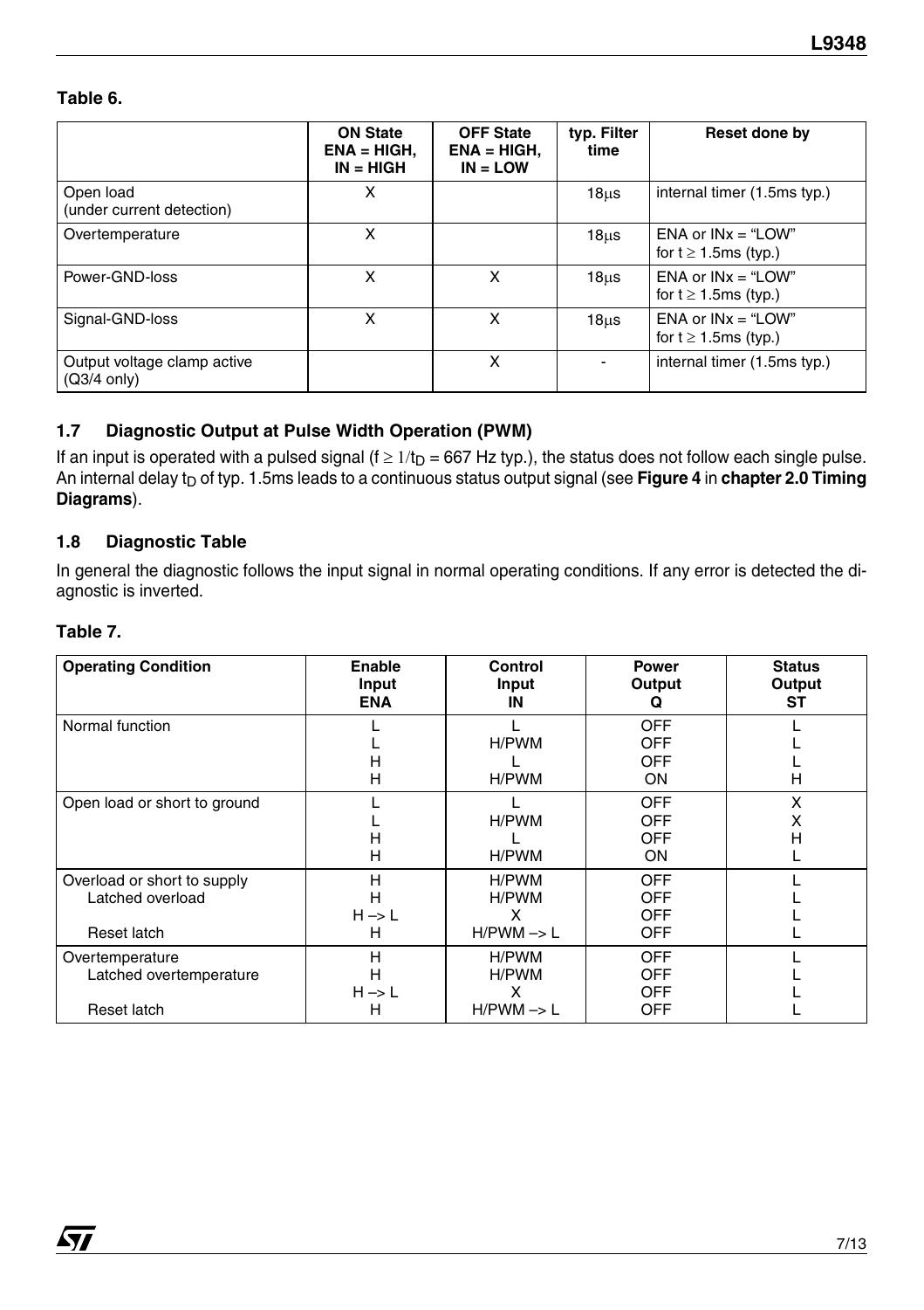#### **Table 6.**

|                                                      | <b>ON State</b><br>$ENA = HIGH.$<br>$IN = HIGH$ | <b>OFF State</b><br>$ENA = HIGH.$<br>$IN = LOW$ | typ. Filter<br>time | Reset done by                                     |
|------------------------------------------------------|-------------------------------------------------|-------------------------------------------------|---------------------|---------------------------------------------------|
| Open load<br>(under current detection)               | X                                               |                                                 | 18 <sub>µ</sub>     | internal timer (1.5ms typ.)                       |
| Overtemperature                                      | x                                               |                                                 | 18 <sub>µ</sub>     | ENA or $INx = "LOW"$<br>for $t \ge 1.5$ ms (typ.) |
| Power-GND-loss                                       | X                                               | x                                               | 18 <sub>µ</sub> s   | ENA or $INx = "LOW"$<br>for $t \ge 1.5$ ms (typ.) |
| Signal-GND-loss                                      | x                                               | x                                               | 18 <sub>µ</sub>     | ENA or $INx = "LOW"$<br>for $t \ge 1.5$ ms (typ.) |
| Output voltage clamp active<br>$(Q3/4 \text{ only})$ |                                                 | x                                               | ٠                   | internal timer (1.5ms typ.)                       |

#### **1.7 Diagnostic Output at Pulse Width Operation (PWM)**

If an input is operated with a pulsed signal ( $f \ge 1/t_D = 667$  Hz typ.), the status does not follow each single pulse. An internal delay t<sub>D</sub> of typ. 1.5ms leads to a continuous status output signal (see [Figure 4](#page-7-1) in [chapter 2.0 Timing](#page-7-0) **[Diagrams](#page-7-0)**).

#### **1.8 Diagnostic Table**

In general the diagnostic follows the input signal in normal operating conditions. If any error is detected the diagnostic is inverted.

#### **Table 7.**

 $\sqrt{1}$ 

| <b>Operating Condition</b>                                     | Enable<br>Input<br><b>ENA</b>    | Control<br>Input<br>ΙN                       | Power<br>Output<br>Q                                 | <b>Status</b><br>Output<br>ST |
|----------------------------------------------------------------|----------------------------------|----------------------------------------------|------------------------------------------------------|-------------------------------|
| Normal function                                                | н<br>н                           | H/PWM<br>H/PWM                               | <b>OFF</b><br><b>OFF</b><br>OFF<br>ON                | н                             |
| Open load or short to ground                                   | н<br>н                           | H/PWM<br>H/PWM                               | <b>OFF</b><br><b>OFF</b><br><b>OFF</b><br>ON         | x<br>x<br>н                   |
| Overload or short to supply<br>Latched overload<br>Reset latch | Н<br>н<br>$H \rightarrow L$<br>н | H/PWM<br>H/PWM<br>x<br>$H/PWM \rightarrow L$ | <b>OFF</b><br><b>OFF</b><br><b>OFF</b><br><b>OFF</b> |                               |
| Overtemperature<br>Latched overtemperature<br>Reset latch      | H<br>н<br>$H \rightarrow L$<br>н | H/PWM<br>H/PWM<br>x<br>$H/PWM \rightarrow L$ | <b>OFF</b><br><b>OFF</b><br><b>OFF</b><br><b>OFF</b> |                               |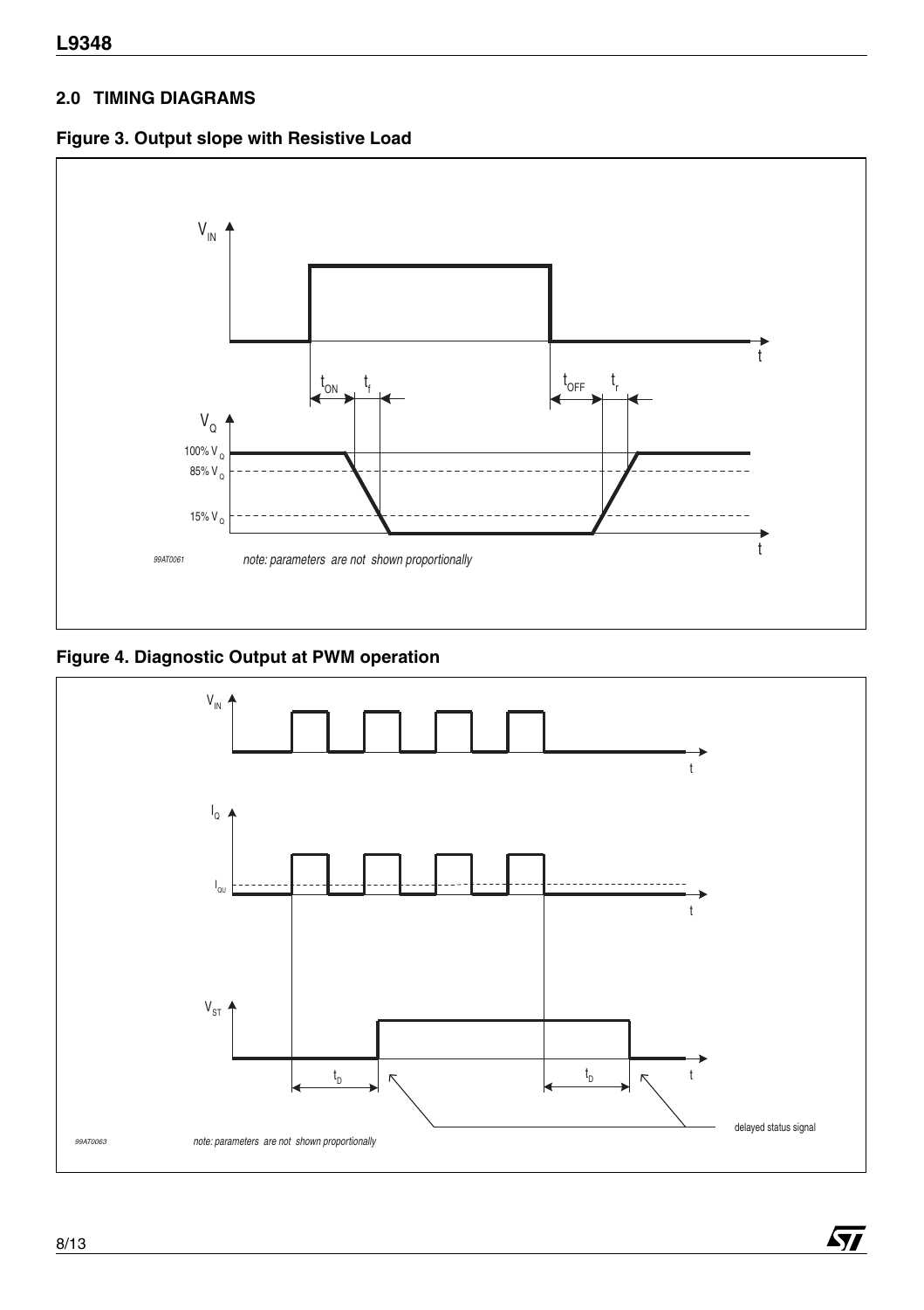#### <span id="page-7-0"></span>**2.0 TIMING DIAGRAMS**





<span id="page-7-1"></span>**Figure 4. Diagnostic Output at PWM operation**



勾

8/13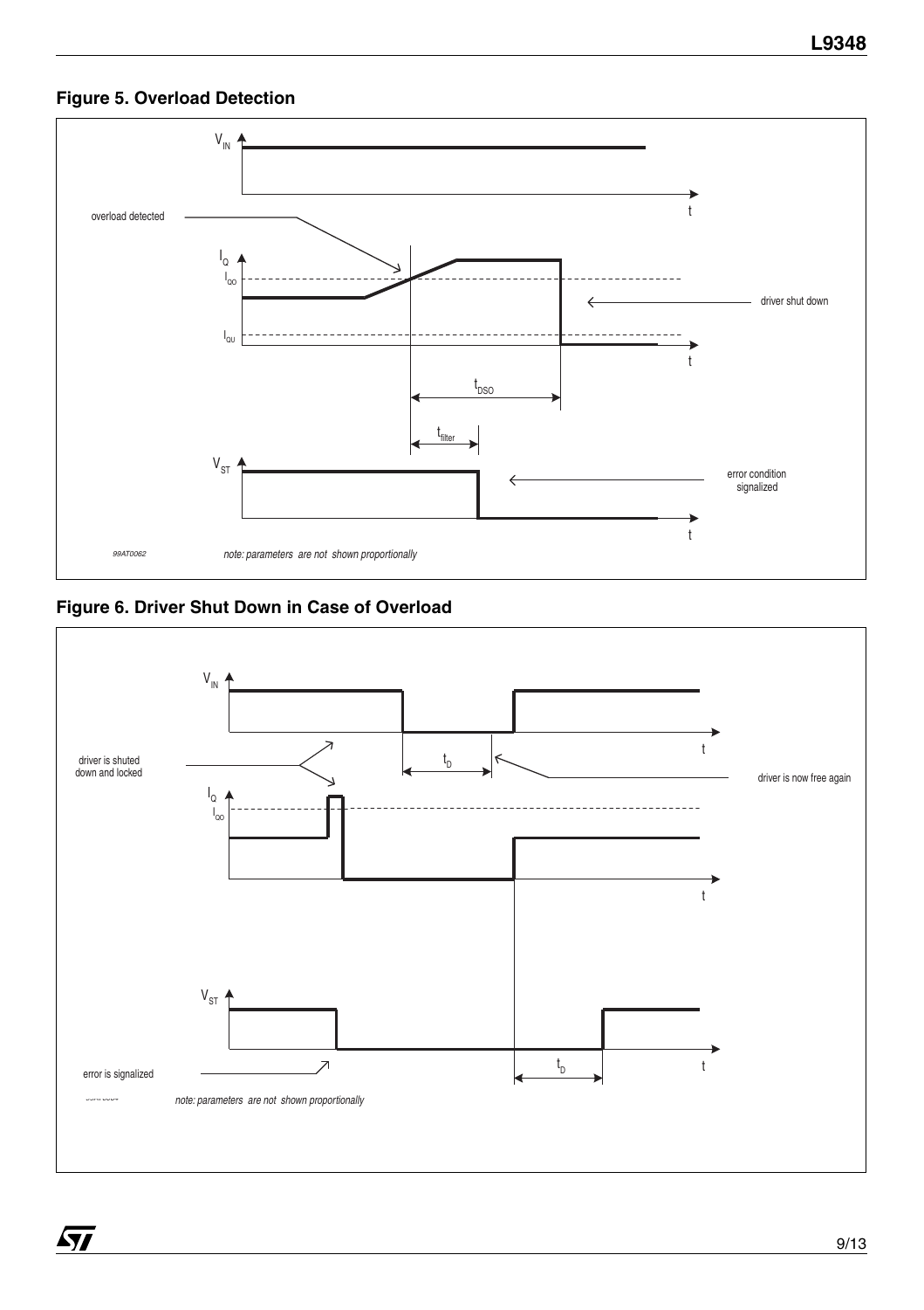#### **Figure 5. Overload Detection**



<span id="page-8-0"></span>**Figure 6. Driver Shut Down in Case of Overload**

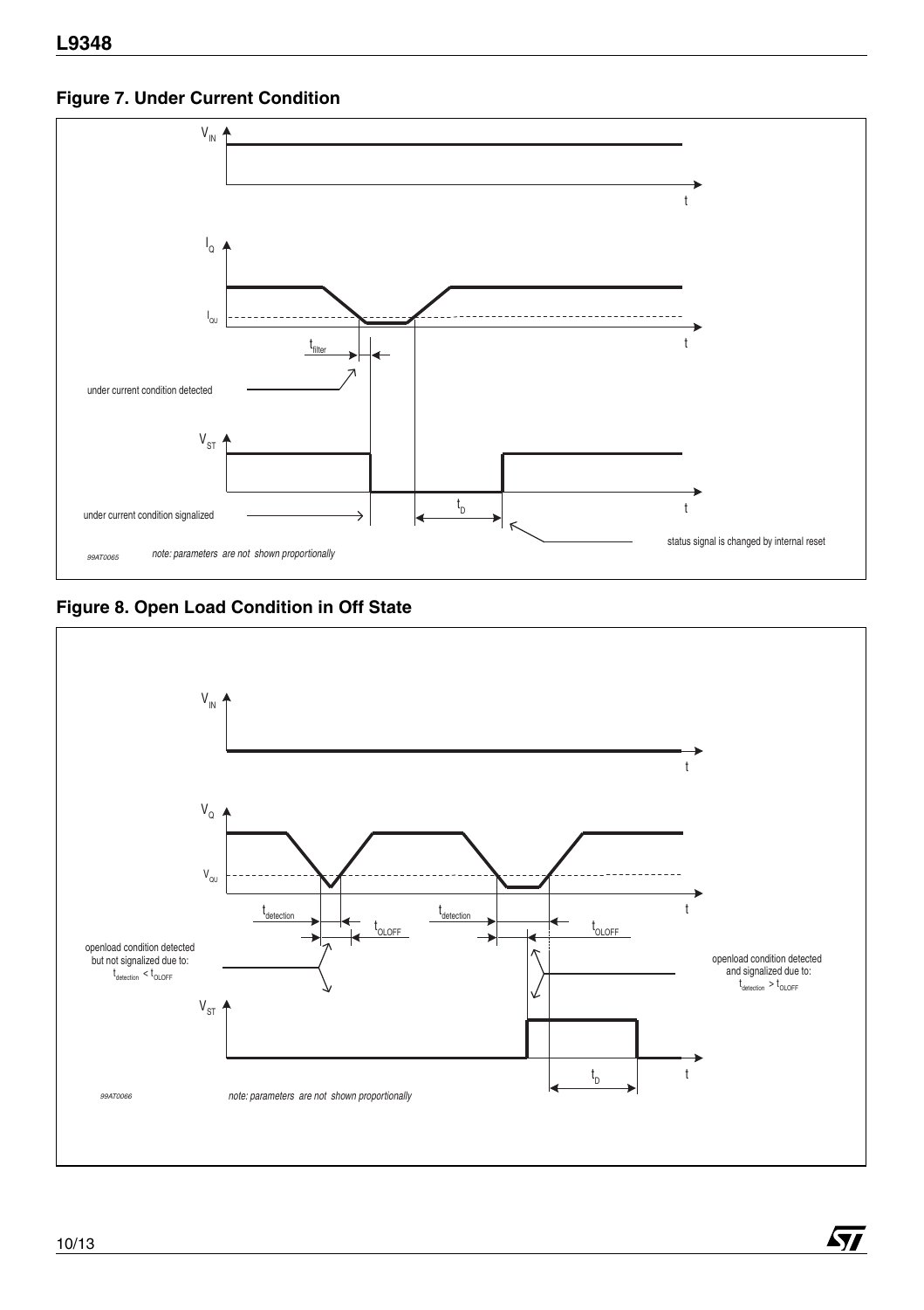<span id="page-9-0"></span>**Figure 7. Under Current Condition**



<span id="page-9-1"></span>**Figure 8. Open Load Condition in Off State**



 $\sqrt{1}$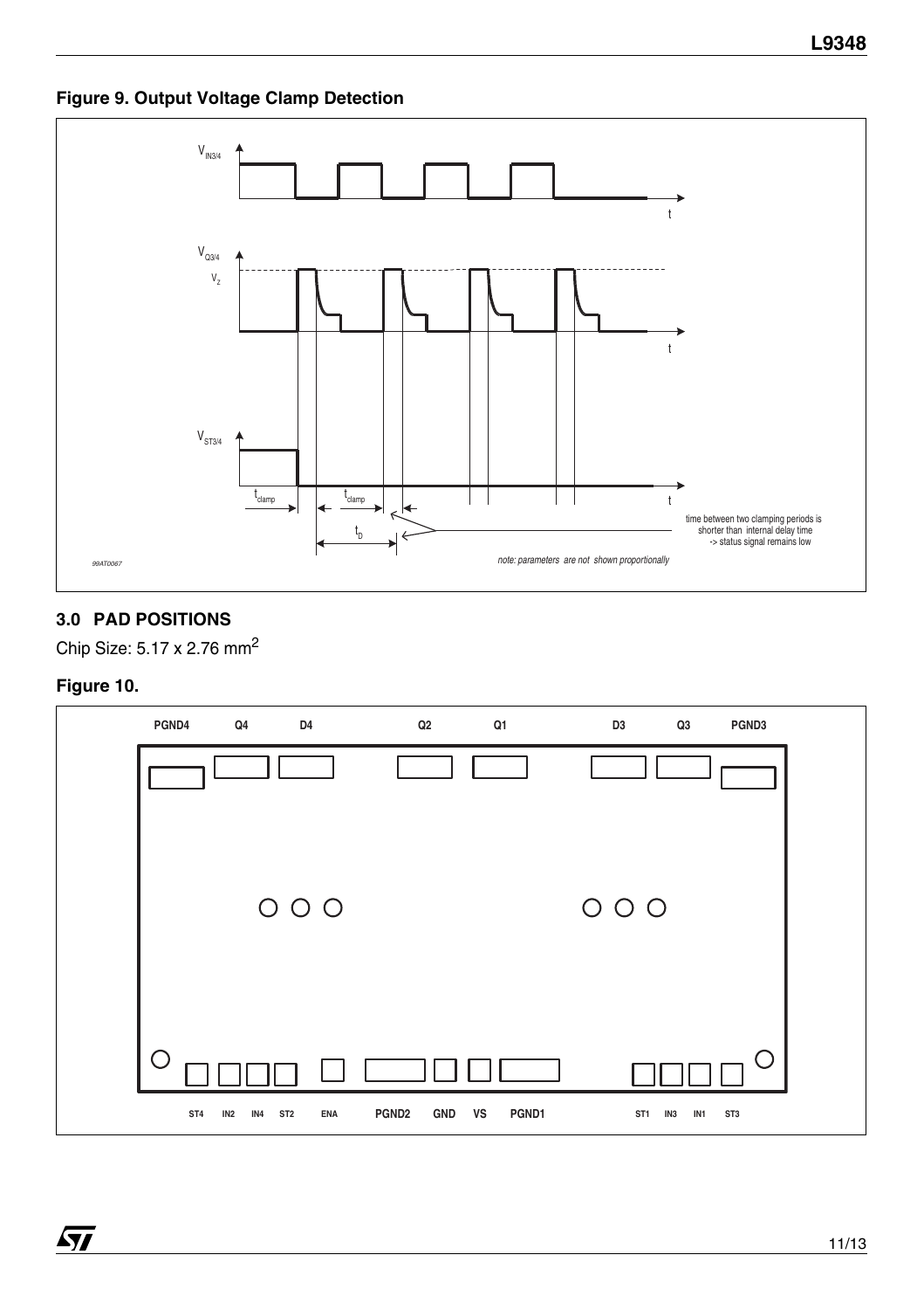**Figure 9. Output Voltage Clamp Detection**



#### **3.0 PAD POSITIONS**

Chip Size: 5.17 x 2.76 mm2

#### **Figure 10.**

 $\sqrt{2}$ 

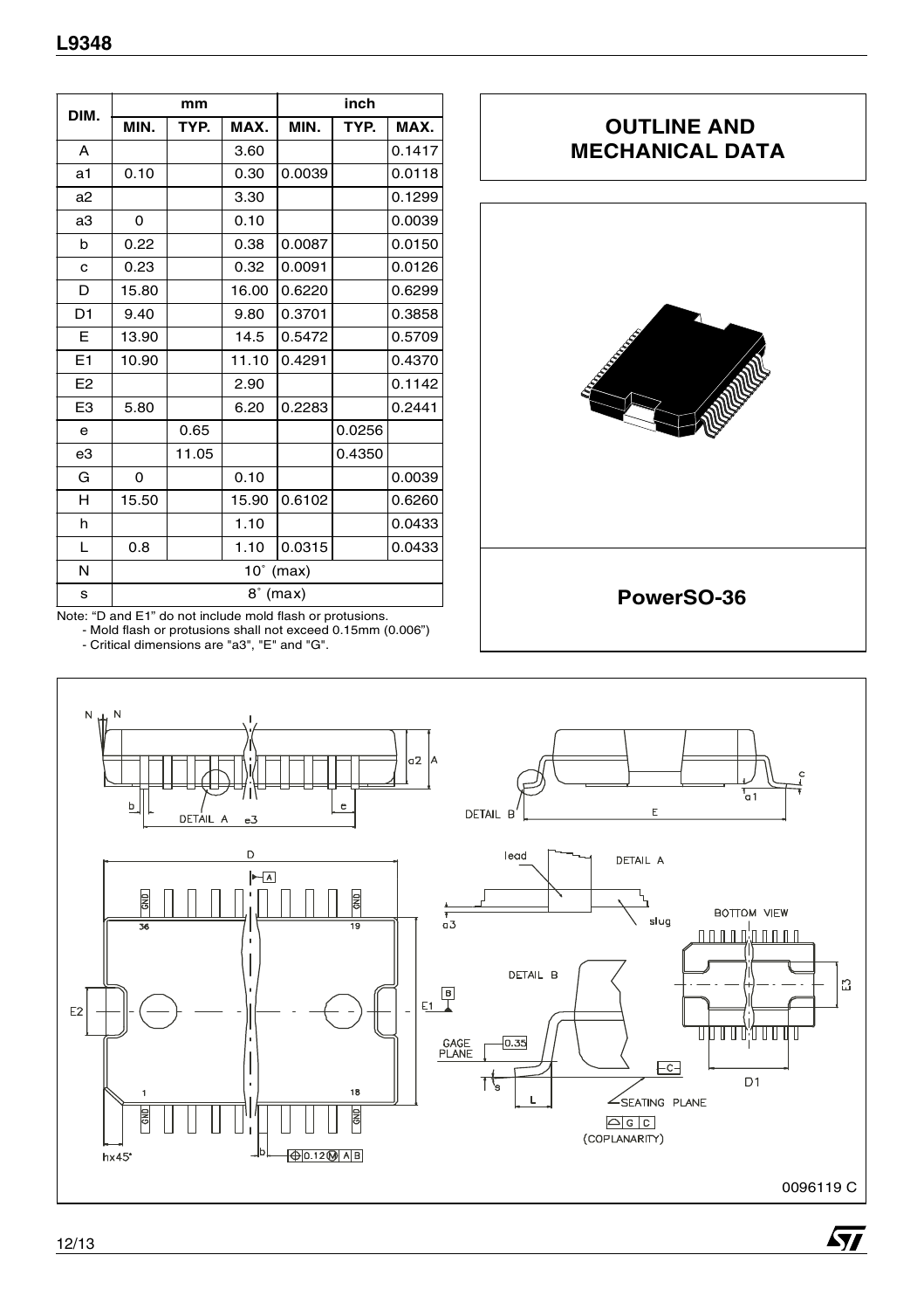| DIM.           |                       | mm    |       |            | inch   |        |  |
|----------------|-----------------------|-------|-------|------------|--------|--------|--|
|                | MIN.                  | TYP.  | MAX.  | MIN.       | TYP.   | MAX.   |  |
| A              |                       |       | 3.60  |            |        | 0.1417 |  |
| a1             | 0.10                  |       | 0.30  | 0.0039     |        | 0.0118 |  |
| a <sub>2</sub> |                       |       | 3.30  |            |        | 0.1299 |  |
| a3             | 0                     |       | 0.10  |            |        | 0.0039 |  |
| b              | 0.22                  |       | 0.38  | 0.0087     |        | 0.0150 |  |
| C              | 0.23                  |       | 0.32  | 0.0091     |        | 0.0126 |  |
| D              | 15.80                 |       | 16.00 | 0.6220     |        | 0.6299 |  |
| D <sub>1</sub> | 9.40                  |       | 9.80  | 0.3701     |        | 0.3858 |  |
| E              | 13.90                 |       | 14.5  | 0.5472     |        | 0.5709 |  |
| E1             | 10.90                 |       | 11.10 | 0.4291     |        | 0.4370 |  |
| E <sub>2</sub> |                       |       | 2.90  |            |        | 0.1142 |  |
| E <sub>3</sub> | 5.80                  |       | 6.20  | 0.2283     |        | 0.2441 |  |
| e              |                       | 0.65  |       |            | 0.0256 |        |  |
| e3             |                       | 11.05 |       |            | 0.4350 |        |  |
| G              | $\Omega$              |       | 0.10  |            |        | 0.0039 |  |
| н              | 15.50                 |       | 15.90 | 0.6102     |        | 0.6260 |  |
| h              |                       |       | 1.10  |            |        | 0.0433 |  |
| L              | 0.8                   |       | 1.10  | 0.0315     |        | 0.0433 |  |
| N              | $10^{\circ}$<br>(max) |       |       |            |        |        |  |
| s              |                       |       |       | $8°$ (max) |        |        |  |

### **OUTLINE AND MECHANICAL DATA**



Note: "D and E1" do not include mold flash or protusions.

- Mold flash or protusions shall not exceed 0.15mm (0.006") - Critical dimensions are "a3", "E" and "G".